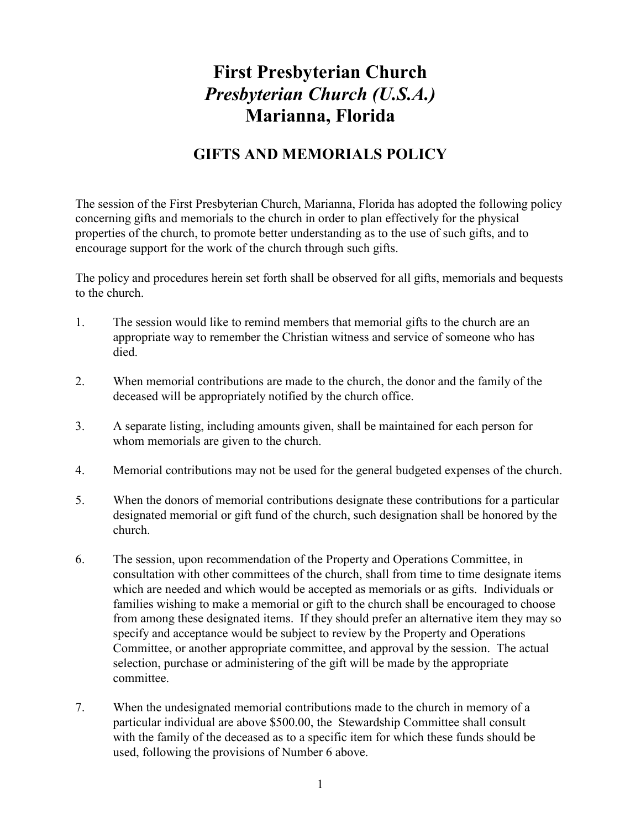# First Presbyterian Church Presbyterian Church (U.S.A.) Marianna, Florida

## GIFTS AND MEMORIALS POLICY

The session of the First Presbyterian Church, Marianna, Florida has adopted the following policy concerning gifts and memorials to the church in order to plan effectively for the physical properties of the church, to promote better understanding as to the use of such gifts, and to encourage support for the work of the church through such gifts.

The policy and procedures herein set forth shall be observed for all gifts, memorials and bequests to the church.

- 1. The session would like to remind members that memorial gifts to the church are an appropriate way to remember the Christian witness and service of someone who has died.
- 2. When memorial contributions are made to the church, the donor and the family of the deceased will be appropriately notified by the church office.
- 3. A separate listing, including amounts given, shall be maintained for each person for whom memorials are given to the church.
- 4. Memorial contributions may not be used for the general budgeted expenses of the church.
- 5. When the donors of memorial contributions designate these contributions for a particular designated memorial or gift fund of the church, such designation shall be honored by the church.
- 6. The session, upon recommendation of the Property and Operations Committee, in consultation with other committees of the church, shall from time to time designate items which are needed and which would be accepted as memorials or as gifts. Individuals or families wishing to make a memorial or gift to the church shall be encouraged to choose from among these designated items. If they should prefer an alternative item they may so specify and acceptance would be subject to review by the Property and Operations Committee, or another appropriate committee, and approval by the session. The actual selection, purchase or administering of the gift will be made by the appropriate committee.
- 7. When the undesignated memorial contributions made to the church in memory of a particular individual are above \$500.00, the Stewardship Committee shall consult with the family of the deceased as to a specific item for which these funds should be used, following the provisions of Number 6 above.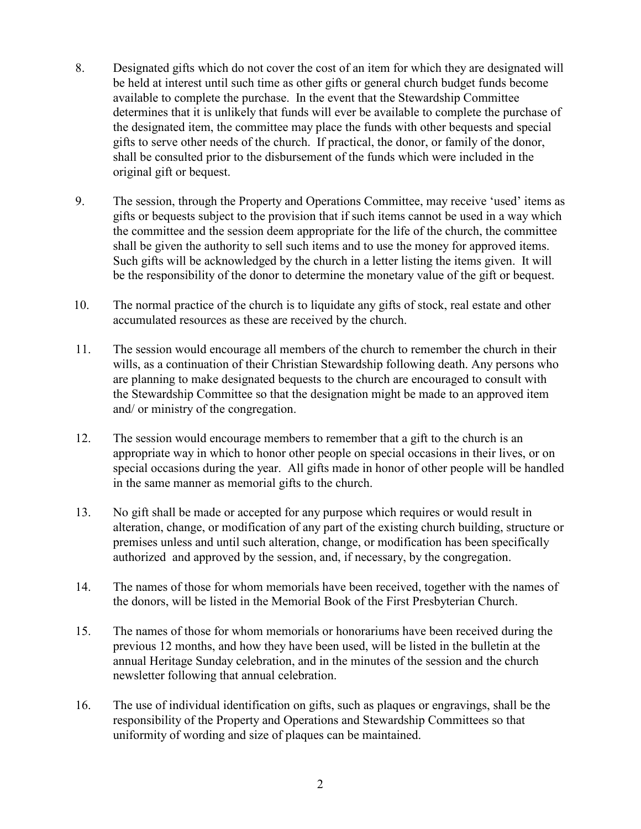- 8. Designated gifts which do not cover the cost of an item for which they are designated will be held at interest until such time as other gifts or general church budget funds become available to complete the purchase. In the event that the Stewardship Committee determines that it is unlikely that funds will ever be available to complete the purchase of the designated item, the committee may place the funds with other bequests and special gifts to serve other needs of the church. If practical, the donor, or family of the donor, shall be consulted prior to the disbursement of the funds which were included in the original gift or bequest.
- 9. The session, through the Property and Operations Committee, may receive 'used' items as gifts or bequests subject to the provision that if such items cannot be used in a way which the committee and the session deem appropriate for the life of the church, the committee shall be given the authority to sell such items and to use the money for approved items. Such gifts will be acknowledged by the church in a letter listing the items given. It will be the responsibility of the donor to determine the monetary value of the gift or bequest.
- 10. The normal practice of the church is to liquidate any gifts of stock, real estate and other accumulated resources as these are received by the church.
- 11. The session would encourage all members of the church to remember the church in their wills, as a continuation of their Christian Stewardship following death. Any persons who are planning to make designated bequests to the church are encouraged to consult with the Stewardship Committee so that the designation might be made to an approved item and/ or ministry of the congregation.
- 12. The session would encourage members to remember that a gift to the church is an appropriate way in which to honor other people on special occasions in their lives, or on special occasions during the year. All gifts made in honor of other people will be handled in the same manner as memorial gifts to the church.
- 13. No gift shall be made or accepted for any purpose which requires or would result in alteration, change, or modification of any part of the existing church building, structure or premises unless and until such alteration, change, or modification has been specifically authorized and approved by the session, and, if necessary, by the congregation.
- 14. The names of those for whom memorials have been received, together with the names of the donors, will be listed in the Memorial Book of the First Presbyterian Church.
- 15. The names of those for whom memorials or honorariums have been received during the previous 12 months, and how they have been used, will be listed in the bulletin at the annual Heritage Sunday celebration, and in the minutes of the session and the church newsletter following that annual celebration.
- 16. The use of individual identification on gifts, such as plaques or engravings, shall be the responsibility of the Property and Operations and Stewardship Committees so that uniformity of wording and size of plaques can be maintained.